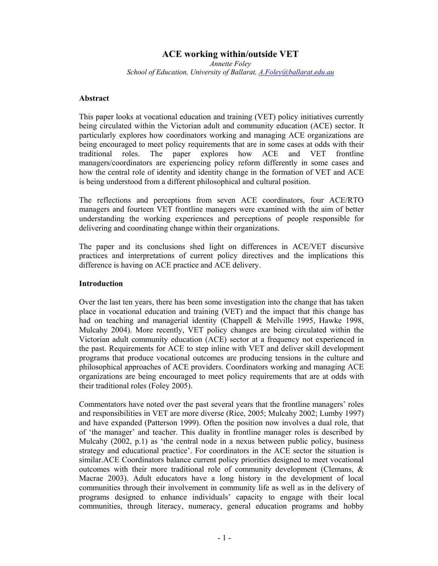# **ACE working within/outside VET**

*Annette Foley School of Education, University of Ballarat, A.Foley@ballarat.edu.au*

#### **Abstract**

This paper looks at vocational education and training (VET) policy initiatives currently being circulated within the Victorian adult and community education (ACE) sector. It particularly explores how coordinators working and managing ACE organizations are being encouraged to meet policy requirements that are in some cases at odds with their traditional roles. The paper explores how ACE and VET frontline managers/coordinators are experiencing policy reform differently in some cases and how the central role of identity and identity change in the formation of VET and ACE is being understood from a different philosophical and cultural position.

The reflections and perceptions from seven ACE coordinators, four ACE/RTO managers and fourteen VET frontline managers were examined with the aim of better understanding the working experiences and perceptions of people responsible for delivering and coordinating change within their organizations.

The paper and its conclusions shed light on differences in ACE/VET discursive practices and interpretations of current policy directives and the implications this difference is having on ACE practice and ACE delivery.

#### **Introduction**

Over the last ten years, there has been some investigation into the change that has taken place in vocational education and training (VET) and the impact that this change has had on teaching and managerial identity (Chappell & Melville 1995, Hawke 1998, Mulcahy 2004). More recently, VET policy changes are being circulated within the Victorian adult community education (ACE) sector at a frequency not experienced in the past. Requirements for ACE to step inline with VET and deliver skill development programs that produce vocational outcomes are producing tensions in the culture and philosophical approaches of ACE providers. Coordinators working and managing ACE organizations are being encouraged to meet policy requirements that are at odds with their traditional roles (Foley 2005).

Commentators have noted over the past several years that the frontline managers' roles and responsibilities in VET are more diverse (Rice, 2005; Mulcahy 2002; Lumby 1997) and have expanded (Patterson 1999). Often the position now involves a dual role, that of 'the manager' and teacher. This duality in frontline manager roles is described by Mulcahy  $(2002, p.1)$  as 'the central node in a nexus between public policy, business strategy and educational practice'. For coordinators in the ACE sector the situation is similar.ACE Coordinators balance current policy priorities designed to meet vocational outcomes with their more traditional role of community development (Clemans, & Macrae 2003). Adult educators have a long history in the development of local communities through their involvement in community life as well as in the delivery of programs designed to enhance individuals' capacity to engage with their local communities, through literacy, numeracy, general education programs and hobby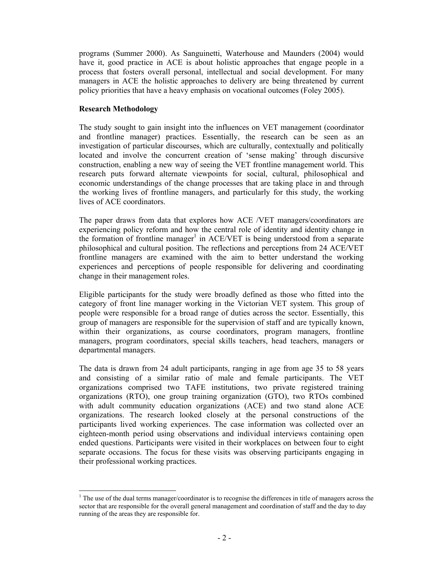programs (Summer 2000). As Sanguinetti, Waterhouse and Maunders (2004) would have it, good practice in ACE is about holistic approaches that engage people in a process that fosters overall personal, intellectual and social development. For many managers in ACE the holistic approaches to delivery are being threatened by current policy priorities that have a heavy emphasis on vocational outcomes (Foley 2005).

### **Research Methodology**

The study sought to gain insight into the influences on VET management (coordinator and frontline manager) practices. Essentially, the research can be seen as an investigation of particular discourses, which are culturally, contextually and politically located and involve the concurrent creation of 'sense making' through discursive construction, enabling a new way of seeing the VET frontline management world. This research puts forward alternate viewpoints for social, cultural, philosophical and economic understandings of the change processes that are taking place in and through the working lives of frontline managers, and particularly for this study, the working lives of ACE coordinators.

The paper draws from data that explores how ACE /VET managers/coordinators are experiencing policy reform and how the central role of identity and identity change in the formation of frontline manager<sup>1</sup> in ACE/VET is being understood from a separate philosophical and cultural position. The reflections and perceptions from 24 ACE/VET frontline managers are examined with the aim to better understand the working experiences and perceptions of people responsible for delivering and coordinating change in their management roles.

Eligible participants for the study were broadly defined as those who fitted into the category of front line manager working in the Victorian VET system. This group of people were responsible for a broad range of duties across the sector. Essentially, this group of managers are responsible for the supervision of staff and are typically known, within their organizations, as course coordinators, program managers, frontline managers, program coordinators, special skills teachers, head teachers, managers or departmental managers.

The data is drawn from 24 adult participants, ranging in age from age 35 to 58 years and consisting of a similar ratio of male and female participants. The VET organizations comprised two TAFE institutions, two private registered training organizations (RTO), one group training organization (GTO), two RTOs combined with adult community education organizations (ACE) and two stand alone ACE organizations. The research looked closely at the personal constructions of the participants lived working experiences. The case information was collected over an eighteen-month period using observations and individual interviews containing open ended questions. Participants were visited in their workplaces on between four to eight separate occasions. The focus for these visits was observing participants engaging in their professional working practices.

<sup>&</sup>lt;sup>1</sup> The use of the dual terms manager/coordinator is to recognise the differences in title of managers across the sector that are responsible for the overall general management and coordination of staff and the day to day running of the areas they are responsible for.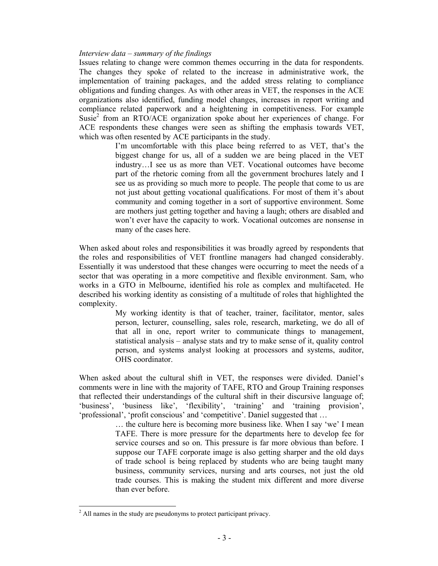#### *Interview data – summary of the findings*

Issues relating to change were common themes occurring in the data for respondents. The changes they spoke of related to the increase in administrative work, the implementation of training packages, and the added stress relating to compliance obligations and funding changes. As with other areas in VET, the responses in the ACE organizations also identified, funding model changes, increases in report writing and compliance related paperwork and a heightening in competitiveness. For example Susie<sup>2</sup> from an RTO/ACE organization spoke about her experiences of change. For ACE respondents these changes were seen as shifting the emphasis towards VET, which was often resented by ACE participants in the study.

> I'm uncomfortable with this place being referred to as VET, that's the biggest change for us, all of a sudden we are being placed in the VET industry…I see us as more than VET. Vocational outcomes have become part of the rhetoric coming from all the government brochures lately and I see us as providing so much more to people. The people that come to us are not just about getting vocational qualifications. For most of them it's about community and coming together in a sort of supportive environment. Some are mothers just getting together and having a laugh; others are disabled and won't ever have the capacity to work. Vocational outcomes are nonsense in many of the cases here.

When asked about roles and responsibilities it was broadly agreed by respondents that the roles and responsibilities of VET frontline managers had changed considerably. Essentially it was understood that these changes were occurring to meet the needs of a sector that was operating in a more competitive and flexible environment. Sam, who works in a GTO in Melbourne, identified his role as complex and multifaceted. He described his working identity as consisting of a multitude of roles that highlighted the complexity.

> My working identity is that of teacher, trainer, facilitator, mentor, sales person, lecturer, counselling, sales role, research, marketing, we do all of that all in one, report writer to communicate things to management, statistical analysis – analyse stats and try to make sense of it, quality control person, and systems analyst looking at processors and systems, auditor, OHS coordinator.

When asked about the cultural shift in VET, the responses were divided. Daniel's comments were in line with the majority of TAFE, RTO and Group Training responses that reflected their understandings of the cultural shift in their discursive language of; 'business', 'business like', 'flexibility', 'training' and 'training provision', 'professional', 'profit conscious' and 'competitive'. Daniel suggested that …

> … the culture here is becoming more business like. When I say 'we' I mean TAFE. There is more pressure for the departments here to develop fee for service courses and so on. This pressure is far more obvious than before. I suppose our TAFE corporate image is also getting sharper and the old days of trade school is being replaced by students who are being taught many business, community services, nursing and arts courses, not just the old trade courses. This is making the student mix different and more diverse than ever before.

 $\overline{a}$ 

 $2$  All names in the study are pseudonyms to protect participant privacy.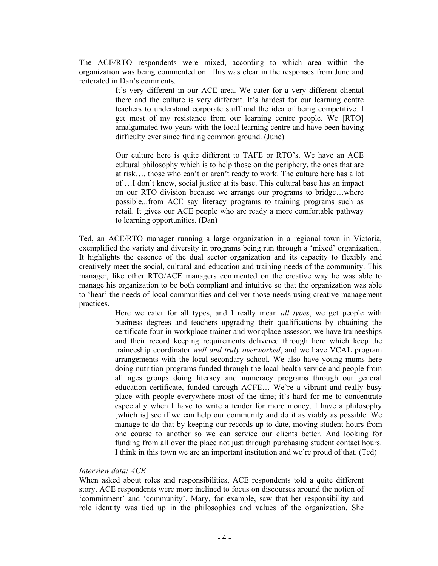The ACE/RTO respondents were mixed, according to which area within the organization was being commented on. This was clear in the responses from June and reiterated in Dan's comments.

> It's very different in our ACE area. We cater for a very different cliental there and the culture is very different. It's hardest for our learning centre teachers to understand corporate stuff and the idea of being competitive. I get most of my resistance from our learning centre people. We [RTO] amalgamated two years with the local learning centre and have been having difficulty ever since finding common ground. (June)

> Our culture here is quite different to TAFE or RTO's. We have an ACE cultural philosophy which is to help those on the periphery, the ones that are at risk…. those who can't or aren't ready to work. The culture here has a lot of …I don't know, social justice at its base. This cultural base has an impact on our RTO division because we arrange our programs to bridge…where possible...from ACE say literacy programs to training programs such as retail. It gives our ACE people who are ready a more comfortable pathway to learning opportunities. (Dan)

Ted, an ACE/RTO manager running a large organization in a regional town in Victoria, exemplified the variety and diversity in programs being run through a 'mixed' organization.. It highlights the essence of the dual sector organization and its capacity to flexibly and creatively meet the social, cultural and education and training needs of the community. This manager, like other RTO/ACE managers commented on the creative way he was able to manage his organization to be both compliant and intuitive so that the organization was able to 'hear' the needs of local communities and deliver those needs using creative management practices.

> Here we cater for all types, and I really mean *all types*, we get people with business degrees and teachers upgrading their qualifications by obtaining the certificate four in workplace trainer and workplace assessor, we have traineeships and their record keeping requirements delivered through here which keep the traineeship coordinator *well and truly overworked*, and we have VCAL program arrangements with the local secondary school. We also have young mums here doing nutrition programs funded through the local health service and people from all ages groups doing literacy and numeracy programs through our general education certificate, funded through ACFE… We're a vibrant and really busy place with people everywhere most of the time; it's hard for me to concentrate especially when I have to write a tender for more money. I have a philosophy [which is] see if we can help our community and do it as viably as possible. We manage to do that by keeping our records up to date, moving student hours from one course to another so we can service our clients better. And looking for funding from all over the place not just through purchasing student contact hours. I think in this town we are an important institution and we're proud of that. (Ted)

#### *Interview data: ACE*

When asked about roles and responsibilities, ACE respondents told a quite different story. ACE respondents were more inclined to focus on discourses around the notion of 'commitment' and 'community'. Mary, for example, saw that her responsibility and role identity was tied up in the philosophies and values of the organization. She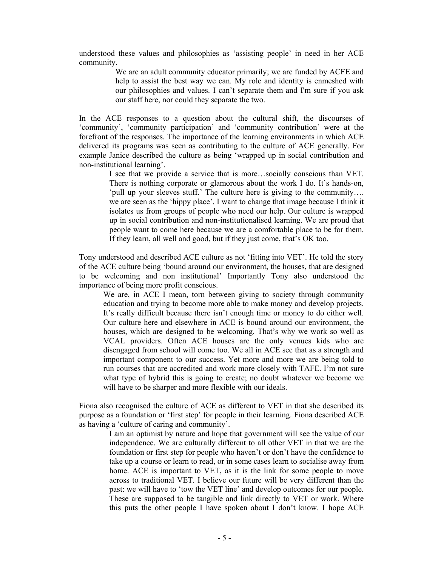understood these values and philosophies as 'assisting people' in need in her ACE community.

> We are an adult community educator primarily; we are funded by ACFE and help to assist the best way we can. My role and identity is enmeshed with our philosophies and values. I can't separate them and I'm sure if you ask our staff here, nor could they separate the two.

In the ACE responses to a question about the cultural shift, the discourses of 'community', 'community participation' and 'community contribution' were at the forefront of the responses. The importance of the learning environments in which ACE delivered its programs was seen as contributing to the culture of ACE generally. For example Janice described the culture as being 'wrapped up in social contribution and non-institutional learning'.

> I see that we provide a service that is more…socially conscious than VET. There is nothing corporate or glamorous about the work I do. It's hands-on, 'pull up your sleeves stuff.' The culture here is giving to the community…. we are seen as the 'hippy place'. I want to change that image because I think it isolates us from groups of people who need our help. Our culture is wrapped up in social contribution and non-institutionalised learning. We are proud that people want to come here because we are a comfortable place to be for them. If they learn, all well and good, but if they just come, that's OK too.

Tony understood and described ACE culture as not 'fitting into VET'. He told the story of the ACE culture being 'bound around our environment, the houses, that are designed to be welcoming and non institutional' Importantly Tony also understood the importance of being more profit conscious.

We are, in ACE I mean, torn between giving to society through community education and trying to become more able to make money and develop projects. It's really difficult because there isn't enough time or money to do either well. Our culture here and elsewhere in ACE is bound around our environment, the houses, which are designed to be welcoming. That's why we work so well as VCAL providers. Often ACE houses are the only venues kids who are disengaged from school will come too. We all in ACE see that as a strength and important component to our success. Yet more and more we are being told to run courses that are accredited and work more closely with TAFE. I'm not sure what type of hybrid this is going to create; no doubt whatever we become we will have to be sharper and more flexible with our ideals.

Fiona also recognised the culture of ACE as different to VET in that she described its purpose as a foundation or 'first step' for people in their learning. Fiona described ACE as having a 'culture of caring and community'.

I am an optimist by nature and hope that government will see the value of our independence. We are culturally different to all other VET in that we are the foundation or first step for people who haven't or don't have the confidence to take up a course or learn to read, or in some cases learn to socialise away from home. ACE is important to VET, as it is the link for some people to move across to traditional VET. I believe our future will be very different than the past: we will have to 'tow the VET line' and develop outcomes for our people. These are supposed to be tangible and link directly to VET or work. Where this puts the other people I have spoken about I don't know. I hope ACE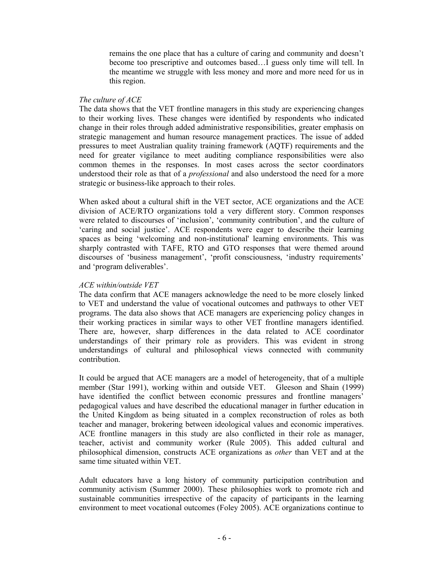remains the one place that has a culture of caring and community and doesn't become too prescriptive and outcomes based…I guess only time will tell. In the meantime we struggle with less money and more and more need for us in this region.

### *The culture of ACE*

The data shows that the VET frontline managers in this study are experiencing changes to their working lives. These changes were identified by respondents who indicated change in their roles through added administrative responsibilities, greater emphasis on strategic management and human resource management practices. The issue of added pressures to meet Australian quality training framework (AQTF) requirements and the need for greater vigilance to meet auditing compliance responsibilities were also common themes in the responses. In most cases across the sector coordinators understood their role as that of a *professional* and also understood the need for a more strategic or business-like approach to their roles.

When asked about a cultural shift in the VET sector, ACE organizations and the ACE division of ACE/RTO organizations told a very different story. Common responses were related to discourses of 'inclusion', 'community contribution', and the culture of 'caring and social justice'. ACE respondents were eager to describe their learning spaces as being 'welcoming and non-institutional' learning environments. This was sharply contrasted with TAFE, RTO and GTO responses that were themed around discourses of 'business management', 'profit consciousness, 'industry requirements' and 'program deliverables'.

## *ACE within/outside VET*

The data confirm that ACE managers acknowledge the need to be more closely linked to VET and understand the value of vocational outcomes and pathways to other VET programs. The data also shows that ACE managers are experiencing policy changes in their working practices in similar ways to other VET frontline managers identified. There are, however, sharp differences in the data related to ACE coordinator understandings of their primary role as providers. This was evident in strong understandings of cultural and philosophical views connected with community contribution.

It could be argued that ACE managers are a model of heterogeneity, that of a multiple member (Star 1991), working within and outside VET. Gleeson and Shain (1999) have identified the conflict between economic pressures and frontline managers' pedagogical values and have described the educational manager in further education in the United Kingdom as being situated in a complex reconstruction of roles as both teacher and manager, brokering between ideological values and economic imperatives. ACE frontline managers in this study are also conflicted in their role as manager, teacher, activist and community worker (Rule 2005). This added cultural and philosophical dimension, constructs ACE organizations as *other* than VET and at the same time situated within VET.

Adult educators have a long history of community participation contribution and community activism (Summer 2000). These philosophies work to promote rich and sustainable communities irrespective of the capacity of participants in the learning environment to meet vocational outcomes (Foley 2005). ACE organizations continue to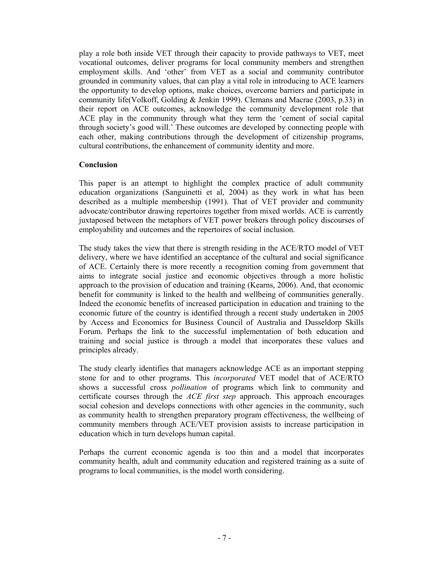play a role both inside VET through their capacity to provide pathways to VET, meet vocational outcomes, deliver programs for local community members and strengthen employment skills. And 'other' from VET as a social and community contributor grounded in community values, that can play a vital role in introducing to ACE learners the opportunity to develop options, make choices, overcome barriers and participate in community life(Volkoff, Golding & Jenkin 1999). Clemans and Macrae (2003, p.33) in their report on ACE outcomes, acknowledge the community development role that ACE play in the community through what they term the 'cement of social capital through society's good will.' These outcomes are developed by connecting people with each other, making contributions through the development of citizenship programs, cultural contributions, the enhancement of community identity and more.

### **Conclusion**

This paper is an attempt to highlight the complex practice of adult community education organizations (Sanguinetti et al, 2004) as they work in what has been described as a multiple membership (1991). That of VET provider and community advocate/contributor drawing repertoires together from mixed worlds. ACE is currently juxtaposed between the metaphors of VET power brokers through policy discourses of employability and outcomes and the repertoires of social inclusion.

The study takes the view that there is strength residing in the ACE/RTO model of VET delivery, where we have identified an acceptance of the cultural and social significance of ACE. Certainly there is more recently a recognition coming from government that aims to integrate social justice and economic objectives through a more holistic approach to the provision of education and training (Kearns, 2006). And, that economic benefit for community is linked to the health and wellbeing of communities generally. Indeed the economic benefits of increased participation in education and training to the economic future of the country is identified through a recent study undertaken in 2005 by Access and Economics for Business Council of Australia and Dusseldorp Skills Forum. Perhaps the link to the successful implementation of both education and training and social justice is through a model that incorporates these values and principles already.

The study clearly identifies that managers acknowledge ACE as an important stepping stone for and to other programs. This *incorporated* VET model that of ACE/RTO shows a successful cross *pollination* of programs which link to community and certificate courses through the *ACE first step* approach. This approach encourages social cohesion and develops connections with other agencies in the community, such as community health to strengthen preparatory program effectiveness, the wellbeing of community members through ACE/VET provision assists to increase participation in education which in turn develops human capital.

Perhaps the current economic agenda is too thin and a model that incorporates community health, adult and community education and registered training as a suite of programs to local communities, is the model worth considering.